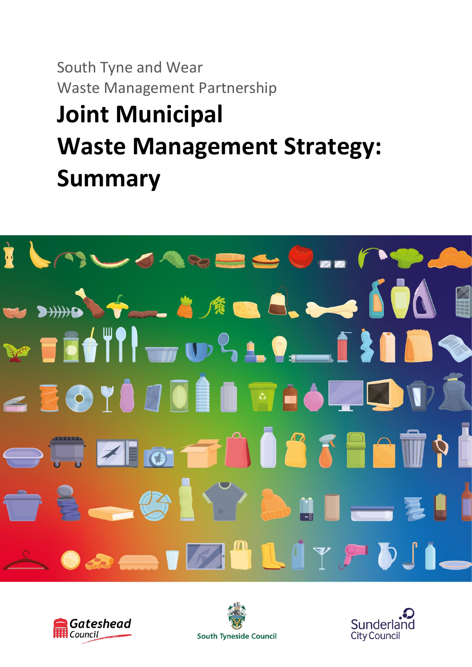South Tyne and Wear Waste Management Partnership

# **Joint Municipal Waste Management Strategy: Summary**







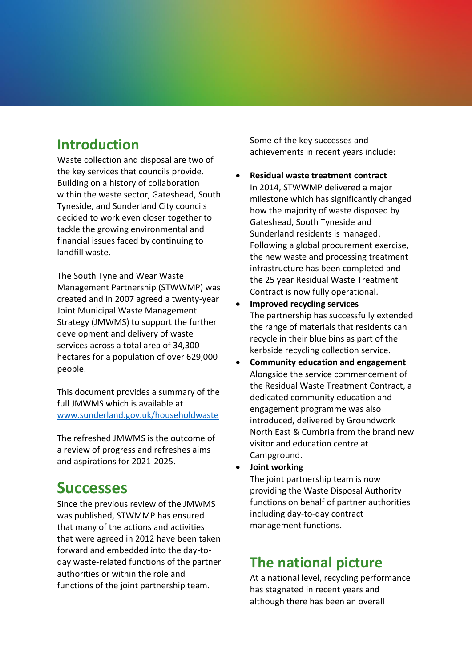## **Introduction**

Waste collection and disposal are two of the key services that councils provide. Building on a history of collaboration within the waste sector, Gateshead, South Tyneside, and Sunderland City councils decided to work even closer together to tackle the growing environmental and financial issues faced by continuing to landfill waste.

The South Tyne and Wear Waste Management Partnership (STWWMP) was created and in 2007 agreed a twenty-year Joint Municipal Waste Management Strategy (JMWMS) to support the further development and delivery of waste services across a total area of 34,300 hectares for a population of over 629,000 people.

This document provides a summary of the full JMWMS which is available at [www.sunderland.gov.uk/householdwaste](http://www.sunderland.gov.uk/householdwaste)

The refreshed JMWMS is the outcome of a review of progress and refreshes aims and aspirations for 2021-2025.

## **Successes**

Since the previous review of the JMWMS was published, STWMMP has ensured that many of the actions and activities that were agreed in 2012 have been taken forward and embedded into the day-today waste-related functions of the partner authorities or within the role and functions of the joint partnership team.

Some of the key successes and achievements in recent years include:

- **Residual waste treatment contract** In 2014, STWWMP delivered a major milestone which has significantly changed how the majority of waste disposed by Gateshead, South Tyneside and Sunderland residents is managed. Following a global procurement exercise, the new waste and processing treatment infrastructure has been completed and the 25 year Residual Waste Treatment Contract is now fully operational.
- **Improved recycling services** The partnership has successfully extended the range of materials that residents can recycle in their blue bins as part of the kerbside recycling collection service.
- **Community education and engagement** Alongside the service commencement of the Residual Waste Treatment Contract, a dedicated community education and engagement programme was also introduced, delivered by Groundwork North East & Cumbria from the brand new visitor and education centre at Campground.
- **Joint working**

The joint partnership team is now providing the Waste Disposal Authority functions on behalf of partner authorities including day-to-day contract management functions.

## **The national picture**

At a national level, recycling performance has stagnated in recent years and although there has been an overall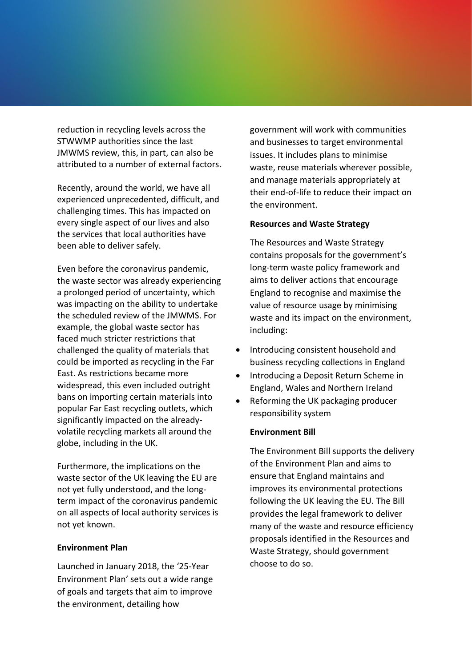reduction in recycling levels across the STWWMP authorities since the last JMWMS review, this, in part, can also be attributed to a number of external factors.

Recently, around the world, we have all experienced unprecedented, difficult, and challenging times. This has impacted on every single aspect of our lives and also the services that local authorities have been able to deliver safely.

Even before the coronavirus pandemic, the waste sector was already experiencing a prolonged period of uncertainty, which was impacting on the ability to undertake the scheduled review of the JMWMS. For example, the global waste sector has faced much stricter restrictions that challenged the quality of materials that could be imported as recycling in the Far East. As restrictions became more widespread, this even included outright bans on importing certain materials into popular Far East recycling outlets, which significantly impacted on the alreadyvolatile recycling markets all around the globe, including in the UK.

Furthermore, the implications on the waste sector of the UK leaving the EU are not yet fully understood, and the longterm impact of the coronavirus pandemic on all aspects of local authority services is not yet known.

### **Environment Plan**

Launched in January 2018, the '25-Year Environment Plan' sets out a wide range of goals and targets that aim to improve the environment, detailing how

government will work with communities and businesses to target environmental issues. It includes plans to minimise waste, reuse materials wherever possible, and manage materials appropriately at their end-of-life to reduce their impact on the environment.

#### **Resources and Waste Strategy**

The Resources and Waste Strategy contains proposals for the government's long-term waste policy framework and aims to deliver actions that encourage England to recognise and maximise the value of resource usage by minimising waste and its impact on the environment, including:

- Introducing consistent household and business recycling collections in England
- Introducing a Deposit Return Scheme in England, Wales and Northern Ireland
- Reforming the UK packaging producer responsibility system

### **Environment Bill**

The Environment Bill supports the delivery of the Environment Plan and aims to ensure that England maintains and improves its environmental protections following the UK leaving the EU. The Bill provides the legal framework to deliver many of the waste and resource efficiency proposals identified in the Resources and Waste Strategy, should government choose to do so.